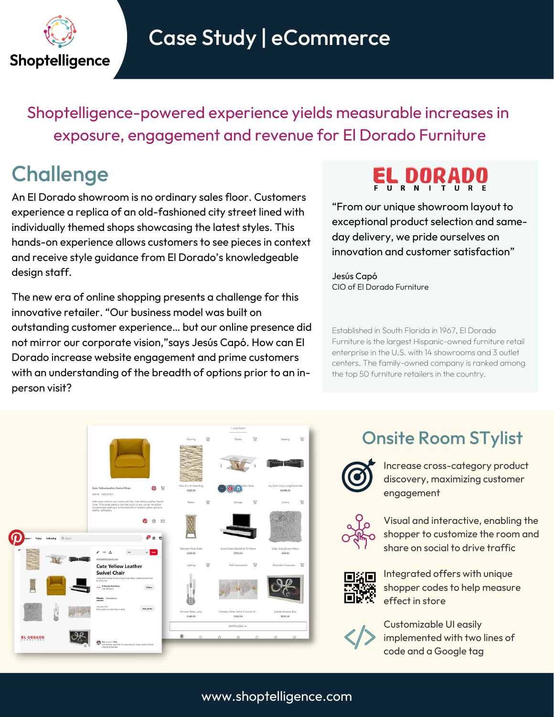

## Case Study | eCommerce

Shoptelligence-powered experience yields measurable increases in exposure, engagement and revenue for El Dorado Furniture

### **Challenge**

An El Dorado showroom is no ordinary sales floor. Customers experience a replica of an old-fashioned city street lined with individually themed shops showcasing the latest styles. This hands-on experience allows customers to see pieces in context and receive style guidance from El Dorado's knowledgeable design staff.

The new era of online shopping presents a challenge for this innovative retailer. "Our business model was built on outstanding customer experience… but our online presence did not mirror our corporate vision,"says Jesús Capó. How can El Dorado increase website engagement and prime customers with an understanding of the breadth of options prior to an inperson visit?

"From our unique showroom layout to exceptional product selection and sameday delivery, we pride ourselves on innovation and customer satisfaction"

Jesús Capó CIO of El Dorado Furniture

Established in South Florida in 1967, El Dorado Furniture is the largest Hispanic-owned furniture retail enterprise in the U.S. with 14 showrooms and 3 outlet centers. The family-owned company is ranked among the top 50 furniture retailers in the country.



#### Onsite Room STylist



Increase cross-category product discovery, maximizing customer engagement



Visual and interactive, enabling the shopper to customize the room and share on social to drive traffic



Integrated offers with unique shopper codes to help measure effect in store

Customizable UI easily implemented with two lines of code and a Google tag

#### www.shoptelligence.com